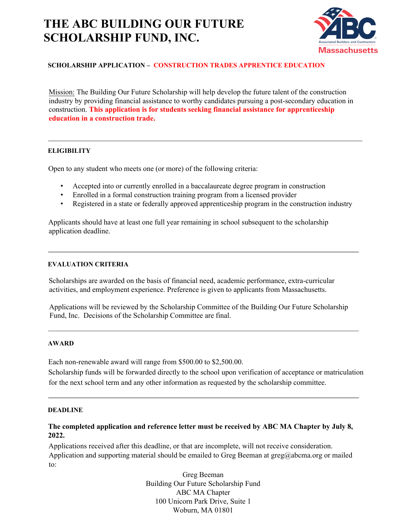# **THE ABC BUILDING OUR FUTURE SCHOLARSHIP FUND, INC.**



# **SCHOLARSHIP APPLICATION – CONSTRUCTION TRADES APPRENTICE EDUCATION**

Mission: The Building Our Future Scholarship will help develop the future talent of the construction industry by providing financial assistance to worthy candidates pursuing a post-secondary education in construction. **This application is for students seeking financial assistance for apprenticeship education in a construction trade.** 

#### **ELIGIBILITY**

Open to any student who meets one (or more) of the following criteria:

- Accepted into or currently enrolled in a baccalaureate degree program in construction
- Enrolled in a formal construction training program from a licensed provider
- Registered in a state or federally approved apprenticeship program in the construction industry

Applicants should have at least one full year remaining in school subsequent to the scholarship application deadline.

#### **EVALUATION CRITERIA**

Scholarships are awarded on the basis of financial need, academic performance, extra-curricular activities, and employment experience. Preference is given to applicants from Massachusetts.

Applications will be reviewed by the Scholarship Committee of the Building Our Future Scholarship Fund, Inc. Decisions of the Scholarship Committee are final.

# **AWARD**

Each non-renewable award will range from \$500.00 to \$2,500.00.

Scholarship funds will be forwarded directly to the school upon verification of acceptance or matriculation for the next school term and any other information as requested by the scholarship committee.

#### **DEADLINE**

# **The completed application and reference letter must be received by ABC MA Chapter by July 8, 2022.**

Applications received after this deadline, or that are incomplete, will not receive consideration. Application and supporting material should be emailed to Greg Beeman at  $\text{greg}(\hat{\omega})$  abcma.org or mailed to:

> Greg Beeman Building Our Future Scholarship Fund ABC MA Chapter 100 Unicorn Park Drive, Suite 1 Woburn, MA 01801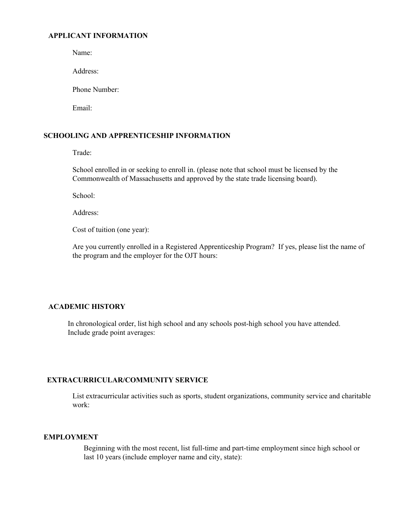#### **APPLICANT INFORMATION**

Name:

Address:

Phone Number:

Email:

# **SCHOOLING AND APPRENTICESHIP INFORMATION**

Trade:

School enrolled in or seeking to enroll in. (please note that school must be licensed by the Commonwealth of Massachusetts and approved by the state trade licensing board).

School:

Address:

Cost of tuition (one year):

Are you currently enrolled in a Registered Apprenticeship Program? If yes, please list the name of the program and the employer for the OJT hours:

# **ACADEMIC HISTORY**

In chronological order, list high school and any schools post-high school you have attended. Include grade point averages:

# **EXTRACURRICULAR/COMMUNITY SERVICE**

List extracurricular activities such as sports, student organizations, community service and charitable work:

# **EMPLOYMENT**

Beginning with the most recent, list full-time and part-time employment since high school or last 10 years (include employer name and city, state):